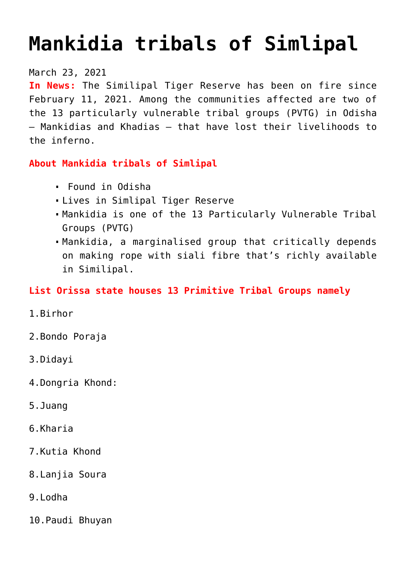# **[Mankidia tribals of Simlipal](https://journalsofindia.com/mankidia-tribals-of-simlipal/)**

#### March 23, 2021

**In News:** The Similipal Tiger Reserve has been on fire since February 11, 2021. Among the communities affected are two of the 13 particularly vulnerable tribal groups (PVTG) in Odisha — Mankidias and Khadias — that have lost their livelihoods to the inferno.

### **About Mankidia tribals of Simlipal**

- Found in Odisha
- Lives in Simlipal Tiger Reserve
- Mankidia is one of the 13 Particularly Vulnerable Tribal Groups (PVTG)
- Mankidia, a marginalised group that critically depends on making rope with siali fibre that's richly available in Similipal.

## **List Orissa state houses 13 Primitive Tribal Groups namely**

- 1.Birhor
- 2.Bondo Poraja
- 3.Didayi
- 4.Dongria Khond:
- 5.Juang
- 6.Kharia
- 7.Kutia Khond
- 8.Lanjia Soura
- 9.Lodha
- 10.Paudi Bhuyan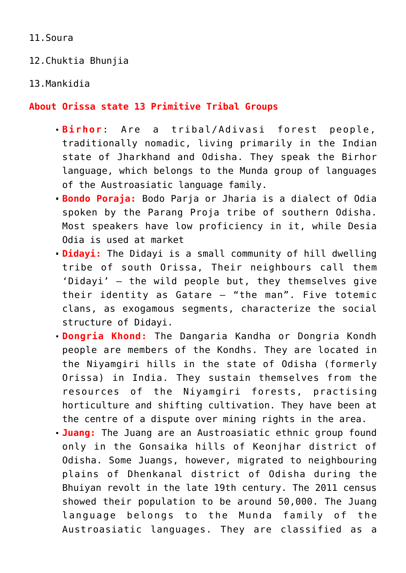11.Soura

12.Chuktia Bhunjia

13.Mankidia

#### **About Orissa state 13 Primitive Tribal Groups**

- **Birhor**: Are a tribal/Adivasi forest people, traditionally nomadic, living primarily in the Indian state of Jharkhand and Odisha. They speak the Birhor language, which belongs to the Munda group of languages of the Austroasiatic language family.
- **Bondo Poraja:** Bodo Parja or Jharia is a dialect of Odia spoken by the Parang Proja tribe of southern Odisha. Most speakers have low proficiency in it, while Desia Odia is used at market
- **Didayi:** The Didayi is a small community of hill dwelling tribe of south Orissa, Their neighbours call them 'Didayi' – the wild people but, they themselves give their identity as Gatare – "the man". Five totemic clans, as exogamous segments, characterize the social structure of Didayi.
- **Dongria Khond:** The Dangaria Kandha or Dongria Kondh people are members of the Kondhs. They are located in the Niyamgiri hills in the state of Odisha (formerly Orissa) in India. They sustain themselves from the resources of the Niyamgiri forests, practising horticulture and shifting cultivation. They have been at the centre of a dispute over mining rights in the area.
- **Juang:** The Juang are an Austroasiatic ethnic group found only in the Gonsaika hills of Keonjhar district of Odisha. Some Juangs, however, migrated to neighbouring plains of Dhenkanal district of Odisha during the Bhuiyan revolt in the late 19th century. The 2011 census showed their population to be around 50,000. The Juang language belongs to the Munda family of the Austroasiatic languages. They are classified as a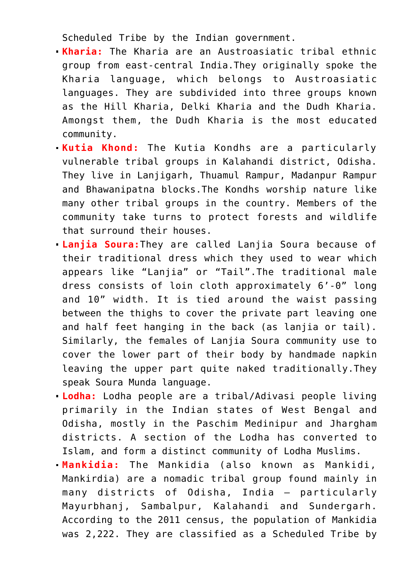Scheduled Tribe by the Indian government.

- **Kharia:** The Kharia are an Austroasiatic tribal ethnic group from east-central India.They originally spoke the Kharia language, which belongs to Austroasiatic languages. They are subdivided into three groups known as the Hill Kharia, Delki Kharia and the Dudh Kharia. Amongst them, the Dudh Kharia is the most educated community.
- **Kutia Khond:** The Kutia Kondhs are a particularly vulnerable tribal groups in Kalahandi district, Odisha. They live in Lanjigarh, Thuamul Rampur, Madanpur Rampur and Bhawanipatna blocks.The Kondhs worship nature like many other tribal groups in the country. Members of the community take turns to protect forests and wildlife that surround their houses.
- **Lanjia Soura:**They are called Lanjia Soura because of their traditional dress which they used to wear which appears like "Lanjia" or "Tail".The traditional male dress consists of loin cloth approximately 6'-0" long and 10" width. It is tied around the waist passing between the thighs to cover the private part leaving one and half feet hanging in the back (as lanjia or tail). Similarly, the females of Lanjia Soura community use to cover the lower part of their body by handmade napkin leaving the upper part quite naked traditionally.They speak Soura Munda language.
- **Lodha:** Lodha people are a tribal/Adivasi people living primarily in the Indian states of West Bengal and Odisha, mostly in the Paschim Medinipur and Jhargham districts. A section of the Lodha has converted to Islam, and form a distinct community of Lodha Muslims.
- **Mankidia:** The Mankidia (also known as Mankidi, Mankirdia) are a nomadic tribal group found mainly in many districts of Odisha, India – particularly Mayurbhanj, Sambalpur, Kalahandi and Sundergarh. According to the 2011 census, the population of Mankidia was 2,222. They are classified as a Scheduled Tribe by